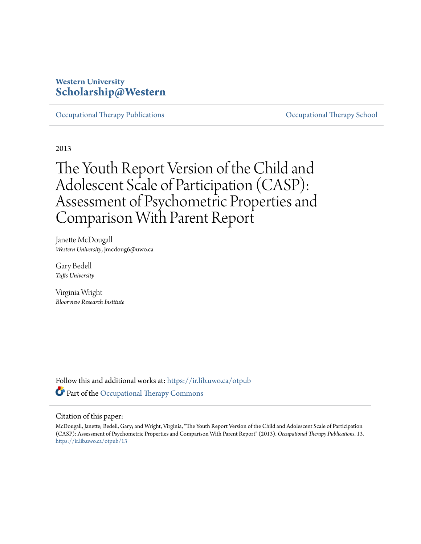# **Western University [Scholarship@Western](https://ir.lib.uwo.ca?utm_source=ir.lib.uwo.ca%2Fotpub%2F13&utm_medium=PDF&utm_campaign=PDFCoverPages)**

[Occupational Therapy Publications](https://ir.lib.uwo.ca/otpub?utm_source=ir.lib.uwo.ca%2Fotpub%2F13&utm_medium=PDF&utm_campaign=PDFCoverPages) [Occupational Therapy School](https://ir.lib.uwo.ca/ot?utm_source=ir.lib.uwo.ca%2Fotpub%2F13&utm_medium=PDF&utm_campaign=PDFCoverPages)

2013

# The Youth Report Version of the Child and Adolescent Scale of Participation (CASP): Assessment of Psychometric Properties and Comparison With Parent Report

Janette McDougall *Western University*, jmcdoug6@uwo.ca

Gary Bedell *Tufts University*

Virginia Wright *Bloorview Research Institute*

Follow this and additional works at: [https://ir.lib.uwo.ca/otpub](https://ir.lib.uwo.ca/otpub?utm_source=ir.lib.uwo.ca%2Fotpub%2F13&utm_medium=PDF&utm_campaign=PDFCoverPages) Part of the [Occupational Therapy Commons](http://network.bepress.com/hgg/discipline/752?utm_source=ir.lib.uwo.ca%2Fotpub%2F13&utm_medium=PDF&utm_campaign=PDFCoverPages)

# Citation of this paper:

McDougall, Janette; Bedell, Gary; and Wright, Virginia, "The Youth Report Version of the Child and Adolescent Scale of Participation (CASP): Assessment of Psychometric Properties and Comparison With Parent Report" (2013). *Occupational Therapy Publications*. 13. [https://ir.lib.uwo.ca/otpub/13](https://ir.lib.uwo.ca/otpub/13?utm_source=ir.lib.uwo.ca%2Fotpub%2F13&utm_medium=PDF&utm_campaign=PDFCoverPages)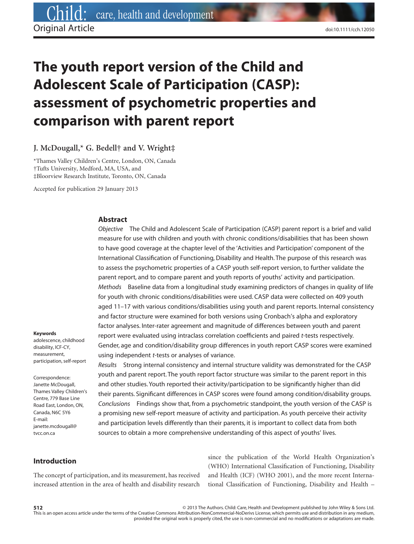# **The youth report version of the Child and Adolescent Scale of Participation (CASP): assessment of psychometric properties and comparison with parent report**

# **J. McDougall,\* G. Bedell† and V. Wright‡**

\*Thames Valley Children's Centre, London, ON, Canada †Tufts University, Medford, MA, USA, and ‡Bloorview Research Institute, Toronto, ON, Canada

Accepted for publication 29 January 2013

#### **Abstract**

*Objective* The Child and Adolescent Scale of Participation (CASP) parent report is a brief and valid measure for use with children and youth with chronic conditions/disabilities that has been shown to have good coverage at the chapter level of the 'Activities and Participation' component of the International Classification of Functioning, Disability and Health. The purpose of this research was to assess the psychometric properties of a CASP youth self-report version, to further validate the parent report, and to compare parent and youth reports of youths' activity and participation. *Methods* Baseline data from a longitudinal study examining predictors of changes in quality of life for youth with chronic conditions/disabilities were used. CASP data were collected on 409 youth aged 11–17 with various conditions/disabilities using youth and parent reports. Internal consistency and factor structure were examined for both versions using Cronbach's alpha and exploratory factor analyses. Inter-rater agreement and magnitude of differences between youth and parent report were evaluated using intraclass correlation coefficients and paired *t*-tests respectively. Gender, age and condition/disability group differences in youth report CASP scores were examined using independent *t*-tests or analyses of variance.

#### **Keywords**

adolescence, childhood disability, ICF-CY, measurement, participation, self-report

Correspondence: Janette McDougall, Thames Valley Children's Centre, 779 Base Line Road East, London, ON, Canada, N6C 5Y6 E-mail: [janette.mcdougall@](mailto:janette.mcdougall@tvcc.on.ca) [tvcc.on.ca](mailto:janette.mcdougall@tvcc.on.ca)

*Results* Strong internal consistency and internal structure validity was demonstrated for the CASP youth and parent report. The youth report factor structure was similar to the parent report in this and other studies. Youth reported their activity/participation to be significantly higher than did their parents. Significant differences in CASP scores were found among condition/disability groups. *Conclusions* Findings show that, from a psychometric standpoint, the youth version of the CASP is a promising new self-report measure of activity and participation. As youth perceive their activity and participation levels differently than their parents, it is important to collect data from both sources to obtain a more comprehensive understanding of this aspect of youths' lives.

# **Introduction**

The concept of participation, and its measurement, has received increased attention in the area of health and disability research

since the publication of the World Health Organization's (WHO) International Classification of Functioning, Disability and Health (ICF) (WHO 2001), and the more recent International Classification of Functioning, Disability and Health –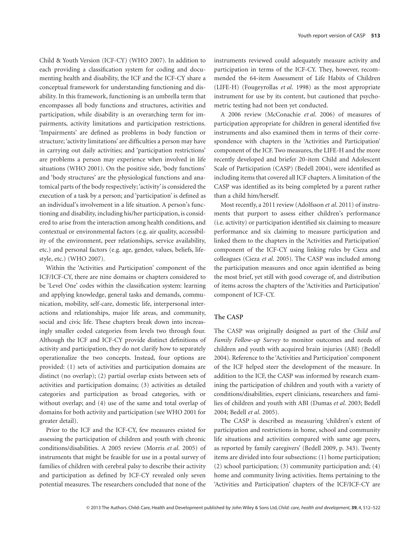Child & Youth Version (ICF-CY) (WHO 2007). In addition to each providing a classification system for coding and documenting health and disability, the ICF and the ICF-CY share a conceptual framework for understanding functioning and disability. In this framework, functioning is an umbrella term that encompasses all body functions and structures, activities and participation, while disability is an overarching term for impairments, activity limitations and participation restrictions. 'Impairments' are defined as problems in body function or structure; 'activity limitations' are difficulties a person may have in carrying out daily activities; and 'participation restrictions' are problems a person may experience when involved in life situations (WHO 2001). On the positive side, 'body functions' and 'body structures' are the physiological functions and anatomical parts of the body respectively; 'activity' is considered the execution of a task by a person; and 'participation' is defined as an individual's involvement in a life situation. A person's functioning and disability, including his/her participation, is considered to arise from the interaction among health conditions, and contextual or environmental factors (e.g. air quality, accessibility of the environment, peer relationships, service availability, etc.) and personal factors (e.g. age, gender, values, beliefs, lifestyle, etc.) (WHO 2007).

Within the 'Activities and Participation' component of the ICF/ICF-CY, there are nine domains or chapters considered to be 'Level One' codes within the classification system: learning and applying knowledge, general tasks and demands, communication, mobility, self-care, domestic life, interpersonal interactions and relationships, major life areas, and community, social and civic life. These chapters break down into increasingly smaller coded categories from levels two through four. Although the ICF and ICF-CY provide distinct definitions of activity and participation, they do not clarify how to separately operationalize the two concepts. Instead, four options are provided: (1) sets of activities and participation domains are distinct (no overlap); (2) partial overlap exists between sets of activities and participation domains; (3) activities as detailed categories and participation as broad categories, with or without overlap; and (4) use of the same and total overlap of domains for both activity and participation (see WHO 2001 for greater detail).

Prior to the ICF and the ICF-CY, few measures existed for assessing the participation of children and youth with chronic conditions/disabilities. A 2005 review (Morris *et al*. 2005) of instruments that might be feasible for use in a postal survey of families of children with cerebral palsy to describe their activity and participation as defined by ICF-CY revealed only seven potential measures. The researchers concluded that none of the

instruments reviewed could adequately measure activity and participation in terms of the ICF-CY. They, however, recommended the 64-item Assessment of Life Habits of Children (LIFE-H) (Fougeyrollas *et al*. 1998) as the most appropriate instrument for use by its content, but cautioned that psychometric testing had not been yet conducted.

A 2006 review (McConachie *et al*. 2006) of measures of participation appropriate for children in general identified five instruments and also examined them in terms of their correspondence with chapters in the 'Activities and Participation' component of the ICF. Two measures, the LIFE-H and the more recently developed and briefer 20-item Child and Adolescent Scale of Participation (CASP) (Bedell 2004), were identified as including items that covered all ICF chapters. A limitation of the CASP was identified as its being completed by a parent rather than a child him/herself.

Most recently, a 2011 review (Adolfsson *et al*. 2011) of instruments that purport to assess either children's performance (i.e. activity) or participation identified six claiming to measure performance and six claiming to measure participation and linked them to the chapters in the 'Activities and Participation' component of the ICF-CY using linking rules by Cieza and colleagues (Cieza *et al*. 2005). The CASP was included among the participation measures and once again identified as being the most brief, yet still with good coverage of, and distribution of items across the chapters of the 'Activities and Participation' component of ICF-CY.

#### **The CASP**

The CASP was originally designed as part of the *Child and Family Follow-up Survey* to monitor outcomes and needs of children and youth with acquired brain injuries (ABI) (Bedell 2004). Reference to the 'Activities and Participation' component of the ICF helped steer the development of the measure. In addition to the ICF, the CASP was informed by research examining the participation of children and youth with a variety of conditions/disabilities, expert clinicians, researchers and families of children and youth with ABI (Dumas *et al*. 2003; Bedell 2004; Bedell *et al*. 2005).

The CASP is described as measuring 'children's extent of participation and restrictions in home, school and community life situations and activities compared with same age peers, as reported by family caregivers' (Bedell 2009, p. 343). Twenty items are divided into four subsections: (1) home participation; (2) school participation; (3) community participation and; (4) home and community living activities. Items pertaining to the 'Activities and Participation' chapters of the ICF/ICF-CY are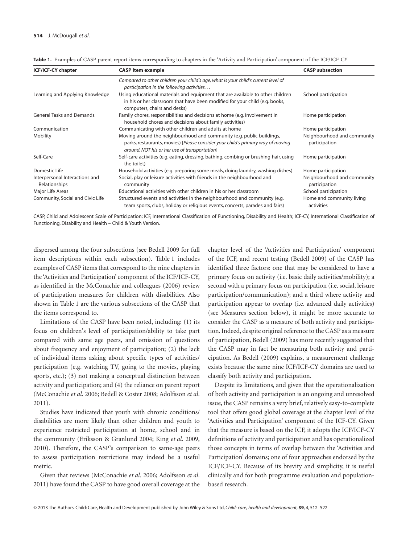| <b>ICF/ICF-CY chapter</b>                       | <b>CASP</b> item example                                                                                                                                                                                  | <b>CASP subsection</b>                       |
|-------------------------------------------------|-----------------------------------------------------------------------------------------------------------------------------------------------------------------------------------------------------------|----------------------------------------------|
|                                                 | Compared to other children your child's age, what is your child's current level of<br>participation in the following activities                                                                           |                                              |
| Learning and Applying Knowledge                 | Using educational materials and equipment that are available to other children<br>in his or her classroom that have been modified for your child (e.g. books,<br>computers, chairs and desks)             | School participation                         |
| <b>General Tasks and Demands</b>                | Family chores, responsibilities and decisions at home (e.g. involvement in<br>household chores and decisions about family activities)                                                                     | Home participation                           |
| Communication                                   | Communicating with other children and adults at home                                                                                                                                                      | Home participation                           |
| Mobility                                        | Moving around the neighbourhood and community (e.g. public buildings,<br>parks, restaurants, movies) [Please consider your child's primary way of moving<br>around, NOT his or her use of transportation] | Neighbourhood and community<br>participation |
| Self-Care                                       | Self-care activities (e.g. eating, dressing, bathing, combing or brushing hair, using<br>the toilet)                                                                                                      | Home participation                           |
| Domestic Life                                   | Household activities (e.g. preparing some meals, doing laundry, washing dishes)                                                                                                                           | Home participation                           |
| Interpersonal Interactions and<br>Relationships | Social, play or leisure activities with friends in the neighbourhood and<br>community                                                                                                                     | Neighbourhood and community<br>participation |
| Major Life Areas                                | Educational activities with other children in his or her classroom                                                                                                                                        | School participation                         |
| Community, Social and Civic Life                | Structured events and activities in the neighbourhood and community (e.g.<br>team sports, clubs, holiday or religious events, concerts, parades and fairs)                                                | Home and community living<br>activities      |

**Table 1.** Examples of CASP parent report items corresponding to chapters in the 'Activity and Participation' component of the ICF/ICF-CY

CASP, Child and Adolescent Scale of Participation; ICF, International Classification of Functioning, Disability and Health; ICF-CY, International Classification of Functioning, Disability and Health – Child & Youth Version.

dispersed among the four subsections (see Bedell 2009 for full item descriptions within each subsection). Table 1 includes examples of CASP items that correspond to the nine chapters in the 'Activities and Participation' component of the ICF/ICF-CY, as identified in the McConachie and colleagues (2006) review of participation measures for children with disabilities. Also shown in Table 1 are the various subsections of the CASP that the items correspond to.

Limitations of the CASP have been noted, including: (1) its focus on children's level of participation/ability to take part compared with same age peers, and omission of questions about frequency and enjoyment of participation; (2) the lack of individual items asking about specific types of activities/ participation (e.g. watching TV, going to the movies, playing sports, etc.); (3) not making a conceptual distinction between activity and participation; and (4) the reliance on parent report (McConachie *et al*. 2006; Bedell & Coster 2008; Adolfsson *et al*. 2011).

Studies have indicated that youth with chronic conditions/ disabilities are more likely than other children and youth to experience restricted participation at home, school and in the community (Eriksson & Granlund 2004; King *et al*. 2009, 2010). Therefore, the CASP's comparison to same-age peers to assess participation restrictions may indeed be a useful metric.

Given that reviews (McConachie *et al*. 2006; Adolfsson *et al*. 2011) have found the CASP to have good overall coverage at the chapter level of the 'Activities and Participation' component of the ICF, and recent testing (Bedell 2009) of the CASP has identified three factors: one that may be considered to have a primary focus on activity (i.e. basic daily activities/mobility); a second with a primary focus on participation (i.e. social, leisure participation/communication); and a third where activity and participation appear to overlap (i.e. advanced daily activities) (see Measures section below), it might be more accurate to consider the CASP as a measure of both activity and participation. Indeed, despite original reference to the CASP as a measure of participation, Bedell (2009) has more recently suggested that the CASP may in fact be measuring both activity and participation. As Bedell (2009) explains, a measurement challenge exists because the same nine ICF/ICF-CY domains are used to classify both activity and participation.

Despite its limitations, and given that the operationalization of both activity and participation is an ongoing and unresolved issue, the CASP remains a very brief, relatively easy-to-complete tool that offers good global coverage at the chapter level of the 'Activities and Participation' component of the ICF-CY. Given that the measure is based on the ICF, it adopts the ICF/ICF-CY definitions of activity and participation and has operationalized those concepts in terms of overlap between the 'Activities and Participation' domains; one of four approaches endorsed by the ICF/ICF-CY. Because of its brevity and simplicity, it is useful clinically and for both programme evaluation and populationbased research.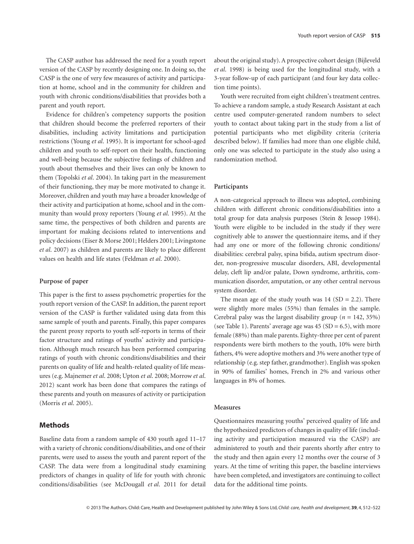The CASP author has addressed the need for a youth report version of the CASP by recently designing one. In doing so, the CASP is the one of very few measures of activity and participation at home, school and in the community for children and youth with chronic conditions/disabilities that provides both a parent and youth report.

Evidence for children's competency supports the position that children should become the preferred reporters of their disabilities, including activity limitations and participation restrictions (Young *et al*. 1995). It is important for school-aged children and youth to self-report on their health, functioning and well-being because the subjective feelings of children and youth about themselves and their lives can only be known to them (Topolski *et al*. 2004). In taking part in the measurement of their functioning, they may be more motivated to change it. Moreover, children and youth may have a broader knowledge of their activity and participation at home, school and in the community than would proxy reporters (Young *et al*. 1995). At the same time, the perspectives of both children and parents are important for making decisions related to interventions and policy decisions (Eiser & Morse 2001; Helders 2001; Livingstone *et al*. 2007) as children and parents are likely to place different values on health and life states (Feldman *et al*. 2000).

#### **Purpose of paper**

This paper is the first to assess psychometric properties for the youth report version of the CASP. In addition, the parent report version of the CASP is further validated using data from this same sample of youth and parents. Finally, this paper compares the parent proxy reports to youth self-reports in terms of their factor structure and ratings of youths' activity and participation. Although much research has been performed comparing ratings of youth with chronic conditions/disabilities and their parents on quality of life and health-related quality of life measures (e.g. Majnemer *et al*. 2008; Upton *et al*. 2008; Morrow *et al*. 2012) scant work has been done that compares the ratings of these parents and youth on measures of activity or participation (Morris *et al*. 2005).

# **Methods**

Baseline data from a random sample of 430 youth aged 11–17 with a variety of chronic conditions/disabilities, and one of their parents, were used to assess the youth and parent report of the CASP. The data were from a longitudinal study examining predictors of changes in quality of life for youth with chronic conditions/disabilities (see McDougall *et al*. 2011 for detail

about the original study). A prospective cohort design (Bijleveld *et al*. 1998) is being used for the longitudinal study, with a 3-year follow-up of each participant (and four key data collection time points).

Youth were recruited from eight children's treatment centres. To achieve a random sample, a study Research Assistant at each centre used computer-generated random numbers to select youth to contact about taking part in the study from a list of potential participants who met eligibility criteria (criteria described below). If families had more than one eligible child, only one was selected to participate in the study also using a randomization method.

#### **Participants**

A non-categorical approach to illness was adopted, combining children with different chronic conditions/disabilities into a total group for data analysis purposes (Stein & Jessop 1984). Youth were eligible to be included in the study if they were cognitively able to answer the questionnaire items, and if they had any one or more of the following chronic conditions/ disabilities: cerebral palsy, spina bifida, autism spectrum disorder, non-progressive muscular disorders, ABI, developmental delay, cleft lip and/or palate, Down syndrome, arthritis, communication disorder, amputation, or any other central nervous system disorder.

The mean age of the study youth was  $14$  (SD = 2.2). There were slightly more males (55%) than females in the sample. Cerebral palsy was the largest disability group ( $n = 142, 35\%$ ) (see Table 1). Parents' average age was  $45$  (SD = 6.5), with more female (88%) than male parents. Eighty-three per cent of parent respondents were birth mothers to the youth, 10% were birth fathers, 4% were adoptive mothers and 3% were another type of relationship (e.g. step father, grandmother). English was spoken in 90% of families' homes, French in 2% and various other languages in 8% of homes.

#### **Measures**

Questionnaires measuring youths' perceived quality of life and the hypothesized predictors of changes in quality of life (including activity and participation measured via the CASP) are administered to youth and their parents shortly after entry to the study and then again every 12 months over the course of 3 years. At the time of writing this paper, the baseline interviews have been completed, and investigators are continuing to collect data for the additional time points.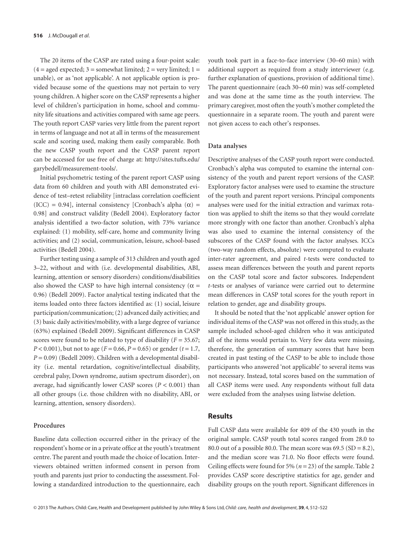The 20 items of the CASP are rated using a four-point scale:  $(4 = aged expected; 3 = somewhat limited; 2 = very limited; 1 =$ unable), or as 'not applicable'. A not applicable option is provided because some of the questions may not pertain to very young children. A higher score on the CASP represents a higher level of children's participation in home, school and community life situations and activities compared with same age peers. The youth report CASP varies very little from the parent report in terms of language and not at all in terms of the measurement scale and scoring used, making them easily comparable. Both the new CASP youth report and the CASP parent report can be accessed for use free of charge at: [http://sites.tufts.edu/](http://sites.tufts.edu/garybedell/measurement-tools/) [garybedell/measurement-tools/.](http://sites.tufts.edu/garybedell/measurement-tools/)

Initial psychometric testing of the parent report CASP using data from 60 children and youth with ABI demonstrated evidence of test–retest reliability [intraclass correlation coefficient (ICC) = 0.94], internal consistency [Cronbach's alpha ( $\alpha$ ) = 0.98] and construct validity (Bedell 2004). Exploratory factor analysis identified a two-factor solution, with 73% variance explained: (1) mobility, self-care, home and community living activities; and (2) social, communication, leisure, school-based activities (Bedell 2004).

Further testing using a sample of 313 children and youth aged 3–22, without and with (i.e. developmental disabilities, ABI, learning, attention or sensory disorders) conditions/disabilities also showed the CASP to have high internal consistency ( $\alpha$  = 0.96) (Bedell 2009). Factor analytical testing indicated that the items loaded onto three factors identified as: (1) social, leisure participation/communication; (2) advanced daily activities; and (3) basic daily activities/mobility, with a large degree of variance (63%) explained (Bedell 2009). Significant differences in CASP scores were found to be related to type of disability (*F* = 35.67; *P* < 0.001), but not to age (*F* = 0.66, *P* = 0.65) or gender (*t* = 1.7, *P* = 0.09) (Bedell 2009). Children with a developmental disability (i.e. mental retardation, cognitive/intellectual disability, cerebral palsy, Down syndrome, autism spectrum disorder), on average, had significantly lower CASP scores (*P* < 0.001) than all other groups (i.e. those children with no disability, ABI, or learning, attention, sensory disorders).

### **Procedures**

Baseline data collection occurred either in the privacy of the respondent's home or in a private office at the youth's treatment centre. The parent and youth made the choice of location. Interviewers obtained written informed consent in person from youth and parents just prior to conducting the assessment. Following a standardized introduction to the questionnaire, each youth took part in a face-to-face interview (30–60 min) with additional support as required from a study interviewer (e.g. further explanation of questions, provision of additional time). The parent questionnaire (each 30–60 min) was self-completed and was done at the same time as the youth interview. The primary caregiver, most often the youth's mother completed the questionnaire in a separate room. The youth and parent were not given access to each other's responses.

#### **Data analyses**

Descriptive analyses of the CASP youth report were conducted. Cronbach's alpha was computed to examine the internal consistency of the youth and parent report versions of the CASP. Exploratory factor analyses were used to examine the structure of the youth and parent report versions. Principal components analyses were used for the initial extraction and varimax rotation was applied to shift the items so that they would correlate more strongly with one factor than another. Cronbach's alpha was also used to examine the internal consistency of the subscores of the CASP found with the factor analyses. ICCs (two-way random effects, absolute) were computed to evaluate inter-rater agreement, and paired *t*-tests were conducted to assess mean differences between the youth and parent reports on the CASP total score and factor subscores. Independent *t*-tests or analyses of variance were carried out to determine mean differences in CASP total scores for the youth report in relation to gender, age and disability groups.

It should be noted that the 'not applicable' answer option for individual items of the CASP was not offered in this study, as the sample included school-aged children who it was anticipated all of the items would pertain to. Very few data were missing, therefore, the generation of summary scores that have been created in past testing of the CASP to be able to include those participants who answered 'not applicable' to several items was not necessary. Instead, total scores based on the summation of all CASP items were used. Any respondents without full data were excluded from the analyses using listwise deletion.

# **Results**

Full CASP data were available for 409 of the 430 youth in the original sample. CASP youth total scores ranged from 28.0 to 80.0 out of a possible 80.0. The mean score was  $69.5$  (SD = 8.2), and the median score was 71.0. No floor effects were found. Ceiling effects were found for 5%  $(n=23)$  of the sample. Table 2 provides CASP score descriptive statistics for age, gender and disability groups on the youth report. Significant differences in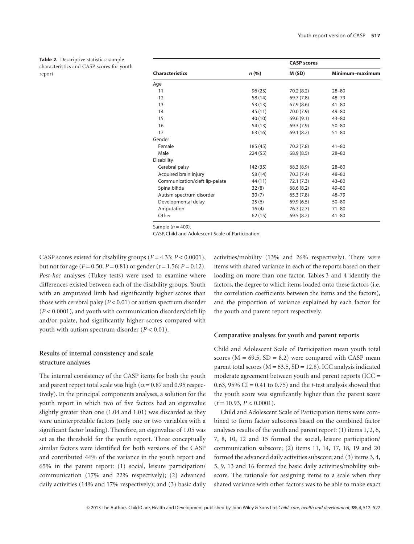| <b>Table 2.</b> Descriptive statistics: sample<br>characteristics and CASP scores for youth |                                |          | <b>CASP</b> scores |                 |
|---------------------------------------------------------------------------------------------|--------------------------------|----------|--------------------|-----------------|
| report                                                                                      | <b>Characteristics</b>         | n (%)    | M(SD)              | Minimum-maximum |
|                                                                                             | Age                            |          |                    |                 |
|                                                                                             | 11                             | 96(23)   | 70.2 (8.2)         | $28 - 80$       |
|                                                                                             | 12                             | 58 (14)  | 69.7 (7.8)         | $48 - 79$       |
|                                                                                             | 13                             | 53(13)   | 67.9(8.6)          | $41 - 80$       |
|                                                                                             | 14                             | 45(11)   | 70.0 (7.9)         | $49 - 80$       |
|                                                                                             | 15                             | 40 (10)  | 69.6(9.1)          | $43 - 80$       |
|                                                                                             | 16                             | 54 (13)  | 69.3 (7.9)         | $50 - 80$       |
|                                                                                             | 17                             | 63 (16)  | 69.1(8.2)          | $51 - 80$       |
|                                                                                             | Gender                         |          |                    |                 |
|                                                                                             | Female                         | 185 (45) | 70.2 (7.8)         | $41 - 80$       |
|                                                                                             | Male                           | 224(55)  | 68.9(8.5)          | $28 - 80$       |
|                                                                                             | <b>Disability</b>              |          |                    |                 |
|                                                                                             | Cerebral palsy                 | 142 (35) | 68.3 (8.9)         | $28 - 80$       |
|                                                                                             | Acquired brain injury          | 58 (14)  | 70.3 (7.4)         | $48 - 80$       |
|                                                                                             | Communication/cleft lip-palate | 44 (11)  | 72.1 (7.3)         | $43 - 80$       |
|                                                                                             | Spina bifida                   | 32(8)    | 68.6(8.2)          | $49 - 80$       |
|                                                                                             | Autism spectrum disorder       | 30(7)    | 65.3(7.8)          | $48 - 79$       |
|                                                                                             | Developmental delay            | 25(6)    | 69.9(6.5)          | $50 - 80$       |
|                                                                                             | Amputation                     | 16(4)    | 76.7(2.7)          | $71 - 80$       |
|                                                                                             | Other                          | 62(15)   | 69.5(8.2)          | $41 - 80$       |

Sample (*n* = 409).

CASP, Child and Adolescent Scale of Participation.

CASP scores existed for disability groups  $(F = 4.33; P < 0.0001)$ , but not for age ( $F = 0.50$ ;  $P = 0.81$ ) or gender ( $t = 1.56$ ;  $P = 0.12$ ). *Post-hoc* analyses (Tukey tests) were used to examine where differences existed between each of the disability groups. Youth with an amputated limb had significantly higher scores than those with cerebral palsy  $(P < 0.01)$  or autism spectrum disorder (*P* < 0.0001), and youth with communication disorders/cleft lip and/or palate, had significantly higher scores compared with youth with autism spectrum disorder (*P* < 0.01).

# **Results of internal consistency and scale structure analyses**

**Table 2.** Descriptive statistics: sample characteristics and CASP scores for youth

The internal consistency of the CASP items for both the youth and parent report total scale was high ( $\alpha$  = 0.87 and 0.95 respectively). In the principal components analyses, a solution for the youth report in which two of five factors had an eigenvalue slightly greater than one (1.04 and 1.01) was discarded as they were uninterpretable factors (only one or two variables with a significant factor loading). Therefore, an eigenvalue of 1.05 was set as the threshold for the youth report. Three conceptually similar factors were identified for both versions of the CASP and contributed 44% of the variance in the youth report and 65% in the parent report: (1) social, leisure participation/ communication (17% and 22% respectively); (2) advanced daily activities (14% and 17% respectively); and (3) basic daily

activities/mobility (13% and 26% respectively). There were items with shared variance in each of the reports based on their loading on more than one factor. Tables 3 and 4 identify the factors, the degree to which items loaded onto these factors (i.e. the correlation coefficients between the items and the factors), and the proportion of variance explained by each factor for the youth and parent report respectively.

#### **Comparative analyses for youth and parent reports**

Child and Adolescent Scale of Participation mean youth total scores ( $M = 69.5$ ,  $SD = 8.2$ ) were compared with CASP mean parent total scores ( $M = 63.5$ ,  $SD = 12.8$ ). ICC analysis indicated moderate agreement between youth and parent reports (ICC = 0.63, 95% CI = 0.41 to 0.75) and the *t*-test analysis showed that the youth score was significantly higher than the parent score  $(t = 10.93, P < 0.0001)$ .

Child and Adolescent Scale of Participation items were combined to form factor subscores based on the combined factor analyses results of the youth and parent report: (1) items 1, 2, 6, 7, 8, 10, 12 and 15 formed the social, leisure participation/ communication subscore; (2) items 11, 14, 17, 18, 19 and 20 formed the advanced daily activities subscore; and (3) items 3, 4, 5, 9, 13 and 16 formed the basic daily activities/mobility subscore. The rationale for assigning items to a scale when they shared variance with other factors was to be able to make exact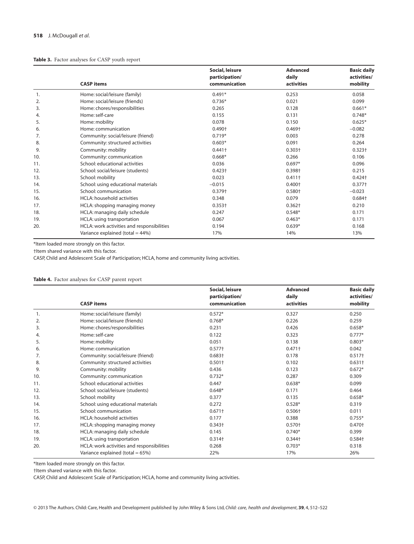#### **Table 3.** Factor analyses for CASP youth report

|     | <b>CASP</b> items                          | Social, leisure<br>participation/<br>communication | <b>Advanced</b><br>daily<br>activities | <b>Basic daily</b><br>activities/<br>mobility |
|-----|--------------------------------------------|----------------------------------------------------|----------------------------------------|-----------------------------------------------|
| 1.  | Home: social/leisure (family)              | $0.491*$                                           | 0.253                                  | 0.058                                         |
| 2.  | Home: social/leisure (friends)             | $0.736*$                                           | 0.021                                  | 0.099                                         |
| 3.  | Home: chores/responsibilities              | 0.265                                              | 0.128                                  | $0.661*$                                      |
| 4.  | Home: self-care                            | 0.155                                              | 0.131                                  | $0.748*$                                      |
| 5.  | Home: mobility                             | 0.078                                              | 0.150                                  | $0.625*$                                      |
| 6.  | Home: communication                        | 0.490+                                             | 0.469+                                 | $-0.082$                                      |
| 7.  | Community: social/leisure (friend)         | $0.719*$                                           | 0.003                                  | 0.278                                         |
| 8.  | Community: structured activities           | $0.603*$                                           | 0.091                                  | 0.264                                         |
| 9.  | Community: mobility                        | 0.441 <sup>†</sup>                                 | $0.303 +$                              | $0.323 +$                                     |
| 10. | Community: communication                   | $0.668*$                                           | 0.266                                  | 0.106                                         |
| 11. | School: educational activities             | 0.036                                              | $0.697*$                               | 0.096                                         |
| 12. | School: social/leisure (students)          | $0.423 +$                                          | 0.398+                                 | 0.215                                         |
| 13. | School: mobility                           | 0.023                                              | $0.411 +$                              | $0.424 +$                                     |
| 14. | School: using educational materials        | $-0.015$                                           | $0.400 +$                              | $0.377+$                                      |
| 15. | School: communication                      | 0.379+                                             | 0.580+                                 | $-0.023$                                      |
| 16. | <b>HCLA: household activities</b>          | 0.348                                              | 0.079                                  | 0.684+                                        |
| 17. | HCLA: shopping managing money              | $0.353 +$                                          | $0.362+$                               | 0.210                                         |
| 18. | HCLA: managing daily schedule              | 0.247                                              | $0.548*$                               | 0.171                                         |
| 19. | HCLA: using transportation                 | 0.067                                              | $0.463*$                               | 0.171                                         |
| 20. | HCLA: work activities and responsibilities | 0.194                                              | $0.639*$                               | 0.168                                         |
|     | Variance explained (total = 44%)           | 17%                                                | 14%                                    | 13%                                           |

\*Item loaded more strongly on this factor.

†Item shared variance with this factor.

CASP, Child and Adolescent Scale of Participation; HCLA, home and community living activities.

#### **Table 4.** Factor analyses for CASP parent report

|     |                                            | Social, leisure<br>participation/ | <b>Advanced</b><br>daily | <b>Basic daily</b><br>activities/ |
|-----|--------------------------------------------|-----------------------------------|--------------------------|-----------------------------------|
|     | <b>CASP</b> items                          | communication                     | activities               | mobility                          |
| 1.  | Home: social/leisure (family)              | $0.572*$                          | 0.327                    | 0.250                             |
| 2.  | Home: social/leisure (friends)             | $0.768*$                          | 0.226                    | 0.259                             |
| 3.  | Home: chores/responsibilities              | 0.231                             | 0.426                    | $0.658*$                          |
| 4.  | Home: self-care                            | 0.122                             | 0.323                    | $0.777*$                          |
| 5.  | Home: mobility                             | 0.051                             | 0.138                    | $0.803*$                          |
| 6.  | Home: communication                        | $0.577+$                          | $0.471 +$                | 0.042                             |
| 7.  | Community: social/leisure (friend)         | $0.683 +$                         | 0.178                    | $0.517+$                          |
| 8.  | Community: structured activities           | $0.501 +$                         | 0.102                    | $0.631 +$                         |
| 9.  | Community: mobility                        | 0.436                             | 0.123                    | $0.672*$                          |
| 10. | Community: communication                   | $0.732*$                          | 0.287                    | 0.309                             |
| 11. | School: educational activities             | 0.447                             | $0.638*$                 | 0.099                             |
| 12. | School: social/leisure (students)          | $0.648*$                          | 0.171                    | 0.464                             |
| 13. | School: mobility                           | 0.377                             | 0.135                    | $0.658*$                          |
| 14. | School: using educational materials        | 0.272                             | $0.528*$                 | 0.319                             |
| 15. | School: communication                      | $0.671+$                          | $0.506+$                 | 0.011                             |
| 16. | <b>HCLA: household activities</b>          | 0.177                             | 0.388                    | $0.755*$                          |
| 17. | HCLA: shopping managing money              | $0.343 +$                         | $0.570 +$                | $0.470 +$                         |
| 18. | HCLA: managing daily schedule              | 0.145                             | $0.740*$                 | 0.399                             |
| 19. | HCLA: using transportation                 | $0.314 +$                         | $0.344 +$                | $0.584+$                          |
| 20. | HCLA: work activities and responsibilities | 0.268                             | $0.703*$                 | 0.318                             |
|     | Variance explained (total = 65%)           | 22%                               | 17%                      | 26%                               |

\*Item loaded more strongly on this factor.

†Item shared variance with this factor.

CASP, Child and Adolescent Scale of Participation; HCLA, home and community living activities.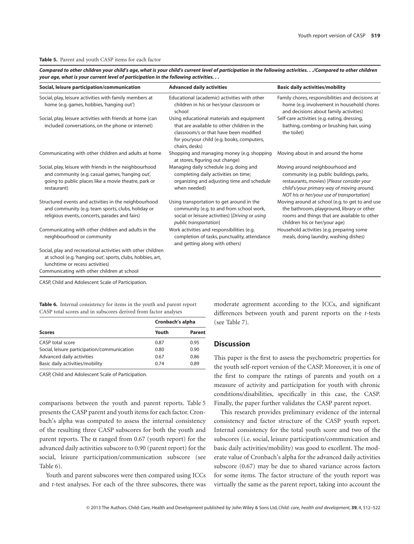#### **Table 5.** Parent and youth CASP items for each factor

*Compared to other children your child's age, what is your child's current level of participation in the following activities. . ./Compared to other children your age, what is your current level of participation in the following activities. . .*

| Social, leisure participation/communication                                                                                                                                        | <b>Advanced daily activities</b>                                                                                                                                                                   | <b>Basic daily activities/mobility</b>                                                                                                                                                                                |  |  |  |
|------------------------------------------------------------------------------------------------------------------------------------------------------------------------------------|----------------------------------------------------------------------------------------------------------------------------------------------------------------------------------------------------|-----------------------------------------------------------------------------------------------------------------------------------------------------------------------------------------------------------------------|--|--|--|
| Social, play, leisure activities with family members at<br>home (e.g. games, hobbies, 'hanging out')                                                                               | Educational (academic) activities with other<br>children in his or her/your classroom or<br>school                                                                                                 | Family chores, responsibilities and decisions at<br>home (e.g. involvement in household chores<br>and decisions about family activities)                                                                              |  |  |  |
| Social, play, leisure activities with friends at home (can<br>included conversations, on the phone or internet)                                                                    | Using educational materials and equipment<br>that are available to other children in the<br>classroom/s or that have been modified<br>for you/your child (e.g. books, computers,<br>chairs, desks) | Self-care activities (e.g. eating, dressing,<br>bathing, combing or brushing hair, using<br>the toilet)                                                                                                               |  |  |  |
| Communicating with other children and adults at home                                                                                                                               | Shopping and managing money (e.g. shopping<br>at stores, figuring out change)                                                                                                                      | Moving about in and around the home                                                                                                                                                                                   |  |  |  |
| Social, play, leisure with friends in the neighbourhood<br>and community (e.g. casual games, 'hanging out',<br>going to public places like a movie theatre, park or<br>restaurant) | Managing daily schedule (e.g. doing and<br>completing daily activities on time;<br>organizing and adjusting time and schedule<br>when needed)                                                      | Moving around neighbourhood and<br>community (e.g. public buildings, parks,<br>restaurants, movies) [Please consider your<br>child's/your primary way of moving around,<br>NOT his or her/your use of transportation] |  |  |  |
| Structured events and activities in the neighbourhood<br>and community (e.g. team sports, clubs, holiday or<br>religious events, concerts, parades and fairs)                      | Using transportation to get around in the<br>community (e.g. to and from school work,<br>social or leisure activities) [Driving or using<br>public transportation]                                 | Moving around at school (e.g. to get to and use<br>the bathroom, playground, library or other<br>rooms and things that are available to other<br>children his or her/your age)                                        |  |  |  |
| Communicating with other children and adults in the<br>neighbourhood or community                                                                                                  | Work activities and responsibilities (e.g.<br>completion of tasks, punctuality, attendance<br>and getting along with others)                                                                       | Household activities (e.g. preparing some<br>meals, doing laundry, washing dishes)                                                                                                                                    |  |  |  |
| Social, play and recreational activities with other children<br>at school (e.g. 'hanging out', sports, clubs, hobbies, art,<br>lunchtime or recess activities)                     |                                                                                                                                                                                                    |                                                                                                                                                                                                                       |  |  |  |

Communicating with other children at school

CASP, Child and Adolescent Scale of Participation.

**Table 6.** Internal consistency for items in the youth and parent report CASP total scores and in subscores derived from factor analyses

|                                             | Cronbach's alpha |        |  |  |
|---------------------------------------------|------------------|--------|--|--|
| <b>Scores</b>                               | Youth            | Parent |  |  |
| CASP total score                            | 0.87             | 0.95   |  |  |
| Social, leisure participation/communication | 0.80             | 0.90   |  |  |
| Advanced daily activities                   | 0.67             | 0.86   |  |  |
| Basic daily activities/mobility             | 0.74             | 0.89   |  |  |

CASP, Child and Adolescent Scale of Participation.

comparisons between the youth and parent reports. Table 5 presents the CASP parent and youth items for each factor. Cronbach's alpha was computed to assess the internal consistency of the resulting three CASP subscores for both the youth and parent reports. The  $\alpha$  ranged from 0.67 (youth report) for the advanced daily activities subscore to 0.90 (parent report) for the social, leisure participation/communication subscore (see Table 6).

Youth and parent subscores were then compared using ICCs and *t*-test analyses. For each of the three subscores, there was

moderate agreement according to the ICCs, and significant differences between youth and parent reports on the *t*-tests (see Table 7).

# **Discussion**

This paper is the first to assess the psychometric properties for the youth self-report version of the CASP. Moreover, it is one of the first to compare the ratings of parents and youth on a measure of activity and participation for youth with chronic conditions/disabilities, specifically in this case, the CASP. Finally, the paper further validates the CASP parent report.

This research provides preliminary evidence of the internal consistency and factor structure of the CASP youth report. Internal consistency for the total youth score and two of the subscores (i.e. social, leisure participation/communication and basic daily activities/mobility) was good to excellent. The moderate value of Cronbach's alpha for the advanced daily activities subscore (0.67) may be due to shared variance across factors for some items. The factor structure of the youth report was virtually the same as the parent report, taking into account the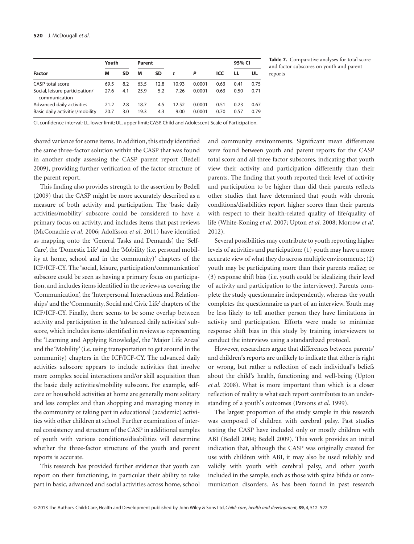|                                                 | Youth |           | Parent |      |       |        |      | 95% CI |      |
|-------------------------------------------------|-------|-----------|--------|------|-------|--------|------|--------|------|
| <b>Factor</b>                                   | м     | <b>SD</b> | M      | SD.  | t     | P      | ICC  | ᄔ      | UL   |
| CASP total score                                | 69.5  | 8.2       | 63.5   | 12.8 | 10.93 | 0.0001 | 0.63 | 0.41   | 0.75 |
| Social, leisure participation/<br>communication | 27.6  | 4.1       | 25.9   | 5.2  | 7.26  | 0.0001 | 0.63 | 0.50   | 0.71 |
| Advanced daily activities                       | 21.2  | 2.8       | 18.7   | 4.5  | 12.52 | 0.0001 | 0.51 | 0.23   | 0.67 |
| Basic daily activities/mobility                 | 20.7  | 3.0       | 19.3   | 4.3  | 9.00  | 0.0001 | 0.70 | 0.57   | 0.79 |

**Table 7.** Comparative analyses for total score and factor subscores on youth and parent

CI, confidence interval; LL, lower limit; UL, upper limit; CASP, Child and Adolescent Scale of Participation.

shared variance for some items. In addition, this study identified the same three-factor solution within the CASP that was found in another study assessing the CASP parent report (Bedell 2009), providing further verification of the factor structure of the parent report.

This finding also provides strength to the assertion by Bedell (2009) that the CASP might be more accurately described as a measure of both activity and participation. The 'basic daily activities/mobility' subscore could be considered to have a primary focus on activity, and includes items that past reviews (McConachie *et al*. 2006; Adolfsson *et al*. 2011) have identified as mapping onto the 'General Tasks and Demands', the 'Self-Care', the 'Domestic Life' and the 'Mobility (i.e. personal mobility at home, school and in the community)' chapters of the ICF/ICF-CY. The 'social, leisure, participation/communication' subscore could be seen as having a primary focus on participation, and includes items identified in the reviews as covering the 'Communication', the 'Interpersonal Interactions and Relationships' and the 'Community, Social and Civic Life' chapters of the ICF/ICF-CY. Finally, there seems to be some overlap between activity and participation in the 'advanced daily activities' subscore, which includes items identified in reviews as representing the 'Learning and Applying Knowledge', the 'Major Life Areas' and the 'Mobility' (i.e. using transportation to get around in the community) chapters in the ICF/ICF-CY. The advanced daily activities subscore appears to include activities that involve more complex social interactions and/or skill acquisition than the basic daily activities/mobility subscore. For example, selfcare or household activities at home are generally more solitary and less complex and than shopping and managing money in the community or taking part in educational (academic) activities with other children at school. Further examination of internal consistency and structure of the CASP in additional samples of youth with various conditions/disabilities will determine whether the three-factor structure of the youth and parent reports is accurate.

This research has provided further evidence that youth can report on their functioning, in particular their ability to take part in basic, advanced and social activities across home, school and community environments. Significant mean differences were found between youth and parent reports for the CASP total score and all three factor subscores, indicating that youth view their activity and participation differently than their parents. The finding that youth reported their level of activity and participation to be higher than did their parents reflects other studies that have determined that youth with chronic conditions/disabilities report higher scores than their parents with respect to their health-related quality of life/quality of life (White-Koning *et al*. 2007; Upton *et al*. 2008; Morrow *et al*. 2012).

Several possibilities may contribute to youth reporting higher levels of activities and participation: (1) youth may have a more accurate view of what they do across multiple environments; (2) youth may be participating more than their parents realize; or (3) response shift bias (i.e. youth could be idealizing their level of activity and participation to the interviewer). Parents complete the study questionnaire independently, whereas the youth completes the questionnaire as part of an interview. Youth may be less likely to tell another person they have limitations in activity and participation. Efforts were made to minimize response shift bias in this study by training interviewers to conduct the interviews using a standardized protocol.

However, researchers argue that differences between parents' and children's reports are unlikely to indicate that either is right or wrong, but rather a reflection of each individual's beliefs about the child's health, functioning and well-being (Upton *et al*. 2008). What is more important than which is a closer reflection of reality is what each report contributes to an understanding of a youth's outcomes (Parsons *et al*. 1999).

The largest proportion of the study sample in this research was composed of children with cerebral palsy. Past studies testing the CASP have included only or mostly children with ABI (Bedell 2004; Bedell 2009). This work provides an initial indication that, although the CASP was originally created for use with children with ABI, it may also be used reliably and validly with youth with cerebral palsy, and other youth included in the sample, such as those with spina bifida or communication disorders. As has been found in past research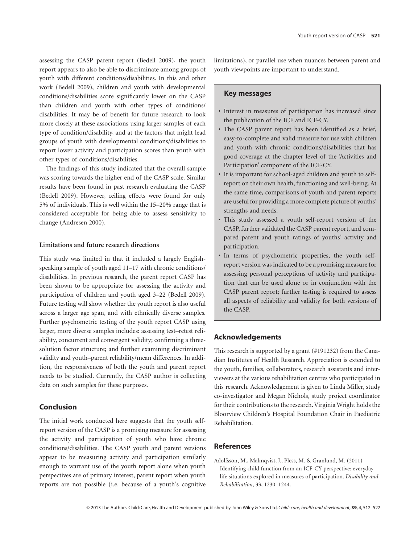assessing the CASP parent report (Bedell 2009), the youth report appears to also be able to discriminate among groups of youth with different conditions/disabilities. In this and other work (Bedell 2009), children and youth with developmental conditions/disabilities score significantly lower on the CASP than children and youth with other types of conditions/ disabilities. It may be of benefit for future research to look more closely at these associations using larger samples of each type of condition/disability, and at the factors that might lead groups of youth with developmental conditions/disabilities to report lower activity and participation scores than youth with other types of conditions/disabilities.

The findings of this study indicated that the overall sample was scoring towards the higher end of the CASP scale. Similar results have been found in past research evaluating the CASP (Bedell 2009). However, ceiling effects were found for only 5% of individuals. This is well within the 15–20% range that is considered acceptable for being able to assess sensitivity to change (Andresen 2000).

#### **Limitations and future research directions**

This study was limited in that it included a largely Englishspeaking sample of youth aged 11–17 with chronic conditions/ disabilities. In previous research, the parent report CASP has been shown to be appropriate for assessing the activity and participation of children and youth aged 3–22 (Bedell 2009). Future testing will show whether the youth report is also useful across a larger age span, and with ethnically diverse samples. Further psychometric testing of the youth report CASP using larger, more diverse samples includes: assessing test–retest reliability, concurrent and convergent validity; confirming a threesolution factor structure; and further examining discriminant validity and youth–parent reliability/mean differences. In addition, the responsiveness of both the youth and parent report needs to be studied. Currently, the CASP author is collecting data on such samples for these purposes.

#### **Conclusion**

The initial work conducted here suggests that the youth selfreport version of the CASP is a promising measure for assessing the activity and participation of youth who have chronic conditions/disabilities. The CASP youth and parent versions appear to be measuring activity and participation similarly enough to warrant use of the youth report alone when youth perspectives are of primary interest, parent report when youth reports are not possible (i.e. because of a youth's cognitive

limitations), or parallel use when nuances between parent and youth viewpoints are important to understand.

#### **Key messages**

- Interest in measures of participation has increased since the publication of the ICF and ICF-CY.
- The CASP parent report has been identified as a brief, easy-to-complete and valid measure for use with children and youth with chronic conditions/disabilities that has good coverage at the chapter level of the 'Activities and Participation' component of the ICF-CY.
- It is important for school-aged children and youth to selfreport on their own health, functioning and well-being. At the same time, comparisons of youth and parent reports are useful for providing a more complete picture of youths' strengths and needs.
- This study assessed a youth self-report version of the CASP, further validated the CASP parent report, and compared parent and youth ratings of youths' activity and participation.
- In terms of psychometric properties, the youth selfreport version was indicated to be a promising measure for assessing personal perceptions of activity and participation that can be used alone or in conjunction with the CASP parent report; further testing is required to assess all aspects of reliability and validity for both versions of the CASP.

#### **Acknowledgements**

This research is supported by a grant (#191232) from the Canadian Institutes of Health Research. Appreciation is extended to the youth, families, collaborators, research assistants and interviewers at the various rehabilitation centres who participated in this research. Acknowledgement is given to Linda Miller, study co-investigator and Megan Nichols, study project coordinator for their contributions to the research. Virginia Wright holds the Bloorview Children's Hospital Foundation Chair in Paediatric Rehabilitation.

### **References**

Adolfsson, M., Malmqvist, J., Pless, M. & Granlund, M. (2011) Identifying child function from an ICF-CY perspective: everyday life situations explored in measures of participation. *Disability and Rehabilitation*, **33**, 1230–1244.